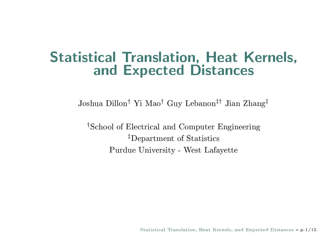#### **Statistical Translation, Heat Kernels,** and Expected Distances

Joshua Dillon<sup>†</sup> Yi Mao<sup>†</sup> Guy Lebanon<sup>‡†</sup> Jian Zhang<sup>‡</sup>

<sup>†</sup>School of Electrical and Computer Engineering <sup>‡</sup>Department of Statistics Purdue University - West Lafayette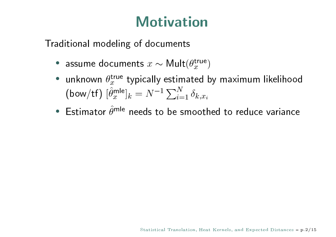# <u>xwelling and the second second</u>

 $\blacksquare$ 

- assume documents  $x \sim \text{Mult}(\theta_x^{\text{true}})$
- $\hat{I}$   $\hat{I}$   $\hat{I}$   $\hat{I}$   $\hat{I}$   $\hat{I}$   $\hat{I}$   $\hat{I}$   $\hat{I}$   $\hat{I}$   $\hat{I}$   $\hat{I}$   $\hat{I}$   $\hat{I}$   $\hat{I}$   $\hat{I}$   $\hat{I}$   $\hat{I}$   $\hat{I}$   $\hat{I}$   $\hat{I}$   $\hat{I}$   $\hat{I}$   $\hat{I}$   $\hat{I}$   $\hat{I}$   $\hat{I}$   $\hat{I$  $n + n$ unknown  $\theta_x^{\text{true}}$  typically estimated by maximum likelihood<br>
(bow/tf)  $[\hat{\theta}_x^{\text{mle}}]_k = N^{-1} \sum_{i=1}^N \delta_{k,x_i}$ )<br>k  $-1 \nabla^N$
- $\int_{k} = N^{-1} \sum_{i=1}^{N} \delta_{k, x_{i}}$ <br>needs to be smoothe  $\Gamma_{\alpha\alpha}$ t alz $\hat{\alpha}$ mle $\alpha$ azikaea kaea aztikael ta zafara zatus z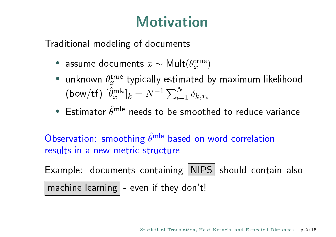# <u>xwelling and the second second</u>

 $\blacksquare$ 

- assume documents  $x \sim \text{Mult}(\theta_x^{\text{true}})$
- $\hat{I}$   $\hat{I}$   $\hat{I}$   $\hat{I}$   $\hat{I}$   $\hat{I}$   $\hat{I}$   $\hat{I}$   $\hat{I}$   $\hat{I}$   $\hat{I}$   $\hat{I}$   $\hat{I}$   $\hat{I}$   $\hat{I}$   $\hat{I}$   $\hat{I}$   $\hat{I}$   $\hat{I}$   $\hat{I}$   $\hat{I}$   $\hat{I}$   $\hat{I}$   $\hat{I}$   $\hat{I}$   $\hat{I}$   $\hat{I}$   $\hat{I$  $n + n$ unknown  $\theta_x^{\text{true}}$  typically estimated by maximum likelihood<br>
(bow/tf)  $[\hat{\theta}_x^{\text{mle}}]_k = N^{-1} \sum_{i=1}^N \delta_{k,x_i}$ )<br>k u $-1 \nabla^N$
- $\int_{k} = N^{-1} \sum_{i=1}^{N} \delta_{k, x_{i}}$ <br>needs to be smoothe  $\Gamma_{\alpha\alpha}$ t alz $\hat{\alpha}$ mle $\alpha$ azikaea kaea aztikael ta zafara zatus z

Zfika i na matematika i začeljeno u objektovanje u objavljanje u objavljanje u objavljanje u objavljanje u obj  $\lambda$ kaea zataz zazaz zklina Âmle kaeazkaea zakazzaria $\lambda$ 

 $\blacksquare$   $\blacksquare$  ifflator  $\blacksquare$ achine learning  $|$  - even if they don't!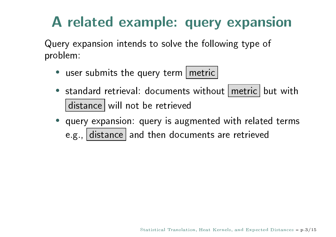# ¡
¢£¤
 ¥

¦jfZ{f~|\c^bakc^\_cfc]k\_aakdf\_[fahdad^zcg\_{f|ah|aZ**||ali** | azad

- ljfkZjk}e^`\_k\_[f§jfZ{\_fZeef\_Z^i
- $\epsilon$  ctandard retrieval: documents without metric hut with distance will not be retrieved
- $\bullet$  , and a complete the continuous control details well-tailed the complete  $\bullet$ e.g., distance and then documents are retrieved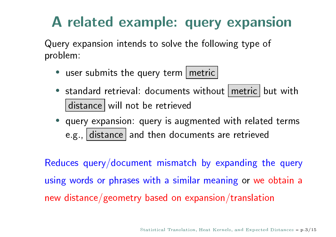# ¡
¢£¤
 ¥

¦jfZ{f~|\c^bakc^\_cfc]k\_aakdf\_[fahdad^zcg\_{f|ah|aZ**||ali** | azad

- ljfkZjk}e^`\_k\_[f§jfZ{\_fZeef\_Z^i
- $\epsilon$  ctandard retrieval: documents without metric hut with distance will not be retrieved
- $\bullet$  , and a complete the continuous control details well-tailed the complete  $\bullet$ e.g., distance and then documents are retrieved

for the control of the control of the celebration of the control  $\Gamma$  for the control for the control of  $\Gamma$  $\frac{1}{10}$ cfighaef  $\ell$  according to the collection of the state  $\ell$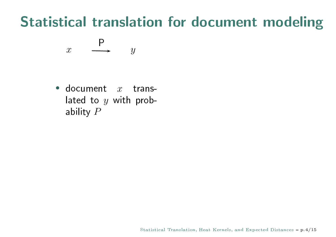# **Statistical translation for document modeling**

$$
x \quad \xrightarrow{P} \quad y
$$

 $\blacksquare$ 

• document  $x$  translated to  $y$  with probability  $P$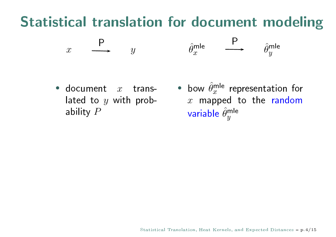#### o a final contract to the state of the state of the state of the state of the state of the state of the state o



- document  $x$  trans- $\lambda$  and to a with probability  $P$
- means and the thermal stress  $\frac{1}{2}$ how  $\hat{\theta}^{\sf mle}$  representation for ariable  $\hat{\theta}^{\mathsf{mle}}$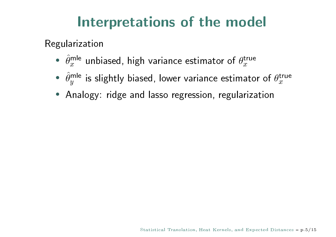#### ®·
¡

for a set of the set of the set of the set of the set of the set of the set of the set of the set of the set of the set of the set of the set of the set of the set of the set of the set of the set of the set of the set of

- $\hat{\theta}_x^{\text{mle}}$  unbiased, high variance estimator of  $\theta_x^{\text{true}}$ <br> $\hat{\theta}_x^{\text{mle}}$  is slightly biased. lower variance estimato
- . . . . .  $\hat{\alpha}$ <sup>le</sup> is slightly biased, lower variance estimator of  $\theta_x^{\text{true}}$ <br>(alogy: ridge and lasso regression, regularization
- Analogy: ridge and lasso regression, regularization<br>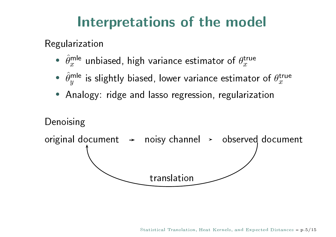#### ®·
¡

for a set of the set of the set of the set of the set of the set of the set of the set of the set of the set of the set of the set of the set of the set of the set of the set of the set of the set of the set of the set of

- $\hat{\alpha}$  $^{\sf{de}}$  unbiased, high variance estimator of  $\theta_x^{\sf{true}}$ <br> $^{\sf{de}}$  is slightly biased. lower variance estimato
- . . . . . <sup>le</sup> is slightly biased, lower variance estimator of  $\theta_x^{\text{true}}$ <br>(alogy: ridge and lasso regression, regularization<br>
- Analogy: ridge and lasso regression, regularization<br>

#### Denoising

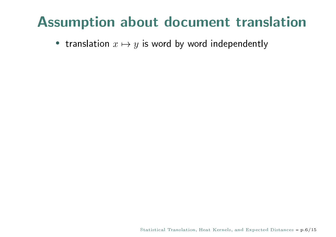#### **Assumption about document translation**

• translation  $x \mapsto y$  is word by word independently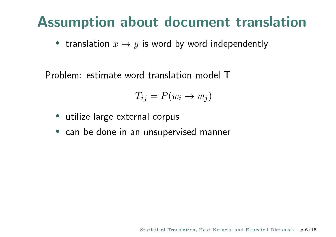#### **Assumption about document translation**

• translation  $x \mapsto y$  is word by word independently

Problem: estimate word translation model T

$$
T_{ij} = P(w_i \to w_j)
$$

- utilize large external corpus
- · can be done in an unsupervised manner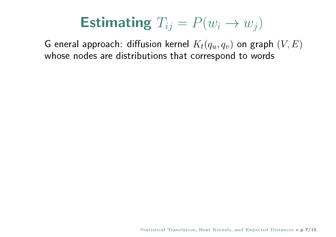G eneral approach: diffusion kernel  $K_t(q_u, q_v)$  on graph  $(V, E)$ whose nodes are distributions that correspond to words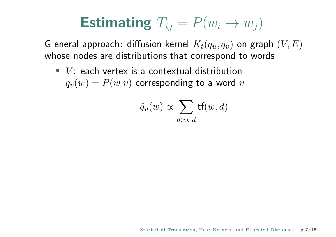G eneral approach: diffusion kernel  $K_t(q_u, q_v)$  on graph  $(V, E)$ whose nodes are distributions that correspond to words

•  $V$ : each vertex is a contextual distribution  $q_v(w) = P(w|v)$  corresponding to a word v

$$
\hat{q}_v(w) \propto \sum_{d:v \in d} \mathsf{tf}(w, d)
$$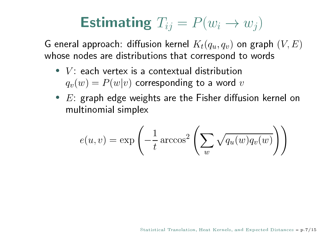G eneral approach: diffusion kernel  $K_t(q_u, q_v)$  on graph  $(V, E)$ whose nodes are distributions that correspond to words

- $V$ : each vertex is a contextual distribution  $q_v(w) = P(w|v)$  corresponding to a word v
- $E$ : graph edge weights are the Fisher diffusion kernel on multinomial simplex

$$
e(u,v) = \exp\left(-\frac{1}{t}\arccos^2\left(\sum_w \sqrt{q_u(w)q_v(w)}\right)\right)
$$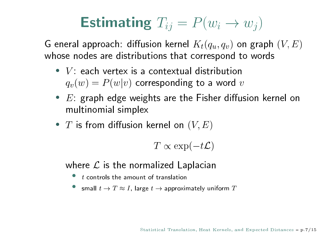G eneral approach: diffusion kernel  $K_t(q_u, q_v)$  on graph  $(V, E)$ whose nodes are distributions that correspond to words

- $V$ : each vertex is a contextual distribution  $q_v(w) = P(w|v)$  corresponding to a word v
- $E$ : graph edge weights are the Fisher diffusion kernel on multinomial simplex
- T is from diffusion kernel on  $(V, E)$

$$
T \propto \exp(-t\mathcal{L})
$$

where  $\mathcal L$  is the normalized Laplacian

- t controls the amount of translation
- small  $t \to T \approx I$ , large  $t \to$  approximately uniform T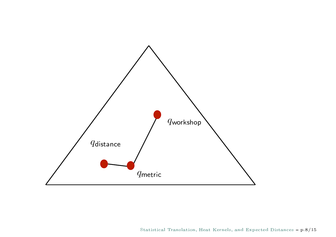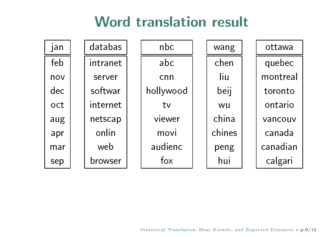# **b** a manual de la componente de la componente de la componente de la componente de la componente de la componen

| jan | databas  | nbc       | wang   | ottawa   |
|-----|----------|-----------|--------|----------|
| feb | intranet | abc       | chen   | quebec   |
| nov | server   | cnn       | liu    | montreal |
| dec | softwar  | hollywood | beij   | toronto  |
| oct | internet | tv        | wu     | ontario  |
| aug | netscap  | viewer    | china  | vancouv  |
| apr | onlin    | movi      | chines | canada   |
| mar | web      | audienc   | peng   | canadian |
| sep | browser  | fox       | hui    | calgari  |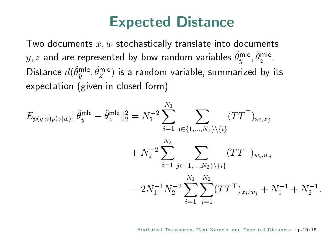#### **Expected Distance**

Two documents  $x, w$  stochastically translate into documents  $y, z$  and are represented by bow random variables  $\hat{\theta}_y^{\text{mle}}, \hat{\theta}_z^{\text{mle}}$ . Distance  $d(\hat{\theta}_y^{\text{mle}}, \hat{\theta}_z^{\text{mle}})$  is a random variable, summarized by its expectation (given in closed form)

$$
E_{p(y|x)p(z|w)} ||\hat{\theta}_y^{\text{mle}} - \hat{\theta}_z^{\text{mle}}||_2^2 = N_1^{-2} \sum_{i=1}^{N_1} \sum_{j \in \{1, \dots, N_1\} \setminus \{i\}} (TT^{\top})_{x_i, x_j} + N_2^{-2} \sum_{i=1}^{N_2} \sum_{j \in \{1, \dots, N_2\} \setminus \{i\}} (TT^{\top})_{w_i, w_j} - 2N_1^{-1}N_2^{-2} \sum_{i=1}^{N_1} \sum_{j=1}^{N_2} (TT^{\top})_{x_i, w_j} + N_1^{-1} + N_2^{-1}.
$$

 $\mathbf{r}$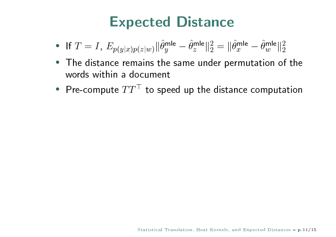# **Expected Distance**

- If  $T = I$ ,  $E_{p(y|x)p(z|w)} ||\hat{\theta}_{y}^{\text{mle}} \hat{\theta}_{z}^{\text{mle}} ||_2^2 = ||\hat{\theta}_{x}^{\text{mle}} \hat{\theta}_{w}^{\text{mle}} ||_2^2$
- The distance remains the same under permutation of the words within a document
- Pre-compute  $TT<sup>T</sup>$  to speed up the distance computation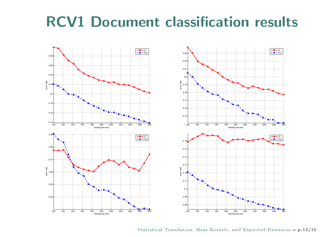# $\bigcap_{i=1}^n A_i$





tatistical Translation, Heat Kernels, and Expected Distances –  $p.12/1$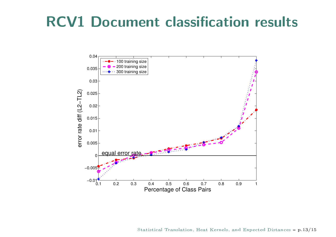# $\bigcap_{i=1}^n A_i$



tatistical Translation, Heat Kernels, and Expected Distances –  $p.13/1$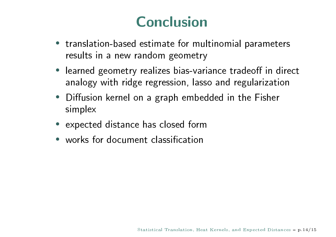# ™andro de la Caraca de la Caraca de la Caraca de la Caraca de la Caraca de la Caraca de la Caraca de la Caraca

- translation-based estimate for multinomial parameters results in a new random geometry
- $\alpha$  nalogy with ridge regression lasso and regularization learned geometry realizes bias-variance tradeoff in direc
- on, lasso and regulariza<br>embedded in the Fish l^»jÌ^bakcfyZcfdac\gZ\|f}ef]][f]^c\_[f^Ýk[fZ $\mathbf{f}$  and  $\mathbf{f}$  and  $\mathbf{f}$
- lf $f_{\rm eff}$  and the flat contribution of the set of  $f_{\rm eff}$
- lazz $\Gamma$ ijefordazykah $\Gamma$ ijefordazykah $\Gamma$